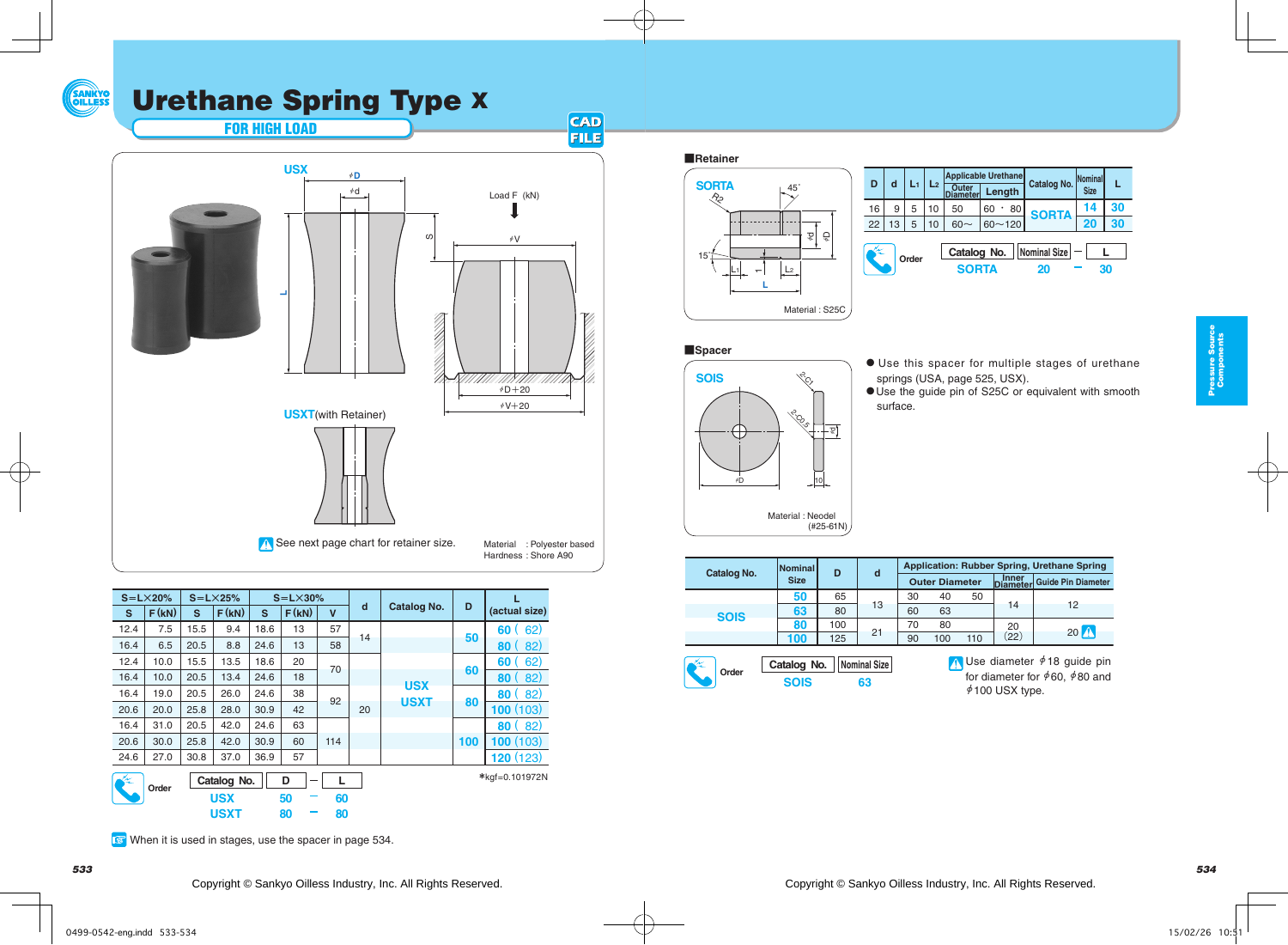## Urethane Spring Type X



| $S = L \times 20\%$                                                                                |       | $S = L \times 25%$ |       | $S = L \times 30\%$ |       |             |             |                    |          |               |
|----------------------------------------------------------------------------------------------------|-------|--------------------|-------|---------------------|-------|-------------|-------------|--------------------|----------|---------------|
| s                                                                                                  | F(kN) | s                  | F(kN) | s                   | F(kN) | $\mathbf v$ | d           | <b>Catalog No.</b> | D        | (actual size) |
| 12.4                                                                                               | 7.5   | 15.5               | 9.4   | 18.6                | 13    | 57          | 14          |                    | 50       | 62)<br>60 (   |
| 16.4                                                                                               | 6.5   | 20.5               | 8.8   | 24.6                | 13    | 58          |             |                    |          | 82)<br>80(    |
| 12.4                                                                                               | 10.0  | 15.5               | 13.5  | 18.6                | 20    | 70          |             |                    | 60       | 62)<br>60     |
| 16.4                                                                                               | 10.0  | 20.5               | 13.4  | 24.6                | 18    |             |             |                    |          | 82)<br>80     |
| 16.4                                                                                               | 19.0  | 20.5               | 26.0  | 24.6                | 38    | 92          |             | <b>USX</b>         |          | 82)<br>80     |
| 20.6                                                                                               | 20.0  | 25.8               | 28.0  | 30.9                | 42    | 20          | <b>USXT</b> | 80                 | 100(103) |               |
| 16.4                                                                                               | 31.0  | 20.5               | 42.0  | 24.6                | 63    |             |             |                    |          | 80(82)        |
| 20.6                                                                                               | 30.0  | 25.8               | 42.0  | 30.9                | 60    | 114         |             |                    | 100      | 100(103)      |
| 24.6                                                                                               | 27.0  | 30.8               | 37.0  | 36.9                | 57    |             |             |                    |          | 120(123)      |
| $M_{\star}$<br>Catalog No.<br>D<br>L<br>Order<br><b>USX</b><br>60<br>50<br><b>USXT</b><br>80<br>80 |       |                    |       |                     |       |             |             | *kgf=0.101972N     |          |               |

## **Retainer**



|  | D           | d  |   | L <sub>2</sub> |                             | <b>Applicable Urethane</b> |                    | Nominal<br><b>Size</b> |    |
|--|-------------|----|---|----------------|-----------------------------|----------------------------|--------------------|------------------------|----|
|  |             |    |   |                | Outer<br>iameter            | Length                     | Catalog No.        |                        |    |
|  | 16          | 9  | 5 | 10             | 50                          | 60<br>80<br>٠              | <b>SORTA</b>       | 14                     | 30 |
|  | 22          | 13 | 5 | 10             |                             | $60 - 120$                 |                    | 20                     |    |
|  | ×.<br>Order |    |   |                | Catalog No.<br><b>SORTA</b> |                            | Nominal Size<br>20 |                        | 30 |

## $\blacksquare$  Spacer



- $\bullet$  Use this spacer for multiple stages of urethane springs (USA, page 525, USX).
- UUse the guide pin of S25C or equivalent with smooth surface.

|                                                           | <b>Catalog No.</b> | <b>Nominal</b> | D   | d  | <b>Application: Rubber Spring, Urethane Spring</b> |                                                                                                                          |     |                     |                           |  |  |
|-----------------------------------------------------------|--------------------|----------------|-----|----|----------------------------------------------------|--------------------------------------------------------------------------------------------------------------------------|-----|---------------------|---------------------------|--|--|
|                                                           |                    | <b>Size</b>    |     |    |                                                    | <b>Outer Diameter</b>                                                                                                    |     | Inner<br>  Diameter | <b>Guide Pin Diameter</b> |  |  |
|                                                           |                    | 50             | 65  | 13 | 30                                                 | 40                                                                                                                       | 50  | 14                  | 12                        |  |  |
|                                                           | <b>SOIS</b>        | 63             | 80  |    | 60                                                 | 63                                                                                                                       |     |                     |                           |  |  |
|                                                           |                    | 80             | 100 |    | 70                                                 | 80                                                                                                                       |     | 20                  | $20$ $\Lambda$            |  |  |
|                                                           |                    | 100            | 125 | 21 | 90                                                 | 100                                                                                                                      | 110 | (22)                |                           |  |  |
| Nominal Size<br>Catalog No.<br>Order<br><b>SOIS</b><br>63 |                    |                |     |    |                                                    | N Use diameter $\neq$ 18 guide pin<br>for diameter for $\frac{60}{7}$ , $\frac{480}{7}$ and<br>$\rlap{/}4$ 100 USX type. |     |                     |                           |  |  |

When it is used in stages, use the spacer in page 534.